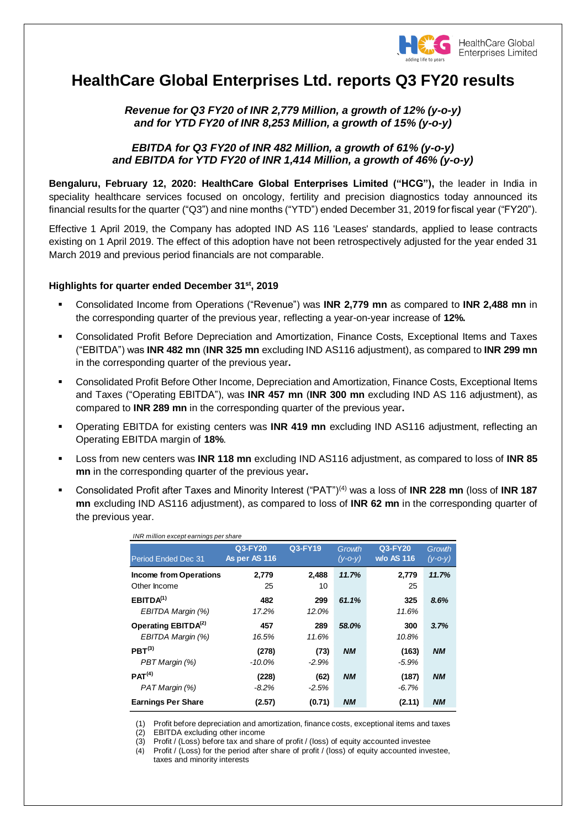

# **HealthCare Global Enterprises Ltd. reports Q3 FY20 results**

# *Revenue for Q3 FY20 of INR 2,779 Million, a growth of 12% (y-o-y) and for YTD FY20 of INR 8,253 Million, a growth of 15% (y-o-y)*

## *EBITDA for Q3 FY20 of INR 482 Million, a growth of 61% (y-o-y) and EBITDA for YTD FY20 of INR 1,414 Million, a growth of 46% (y-o-y)*

**Bengaluru, February 12, 2020: HealthCare Global Enterprises Limited ("HCG"),** the leader in India in speciality healthcare services focused on oncology, fertility and precision diagnostics today announced its financial results for the quarter ("Q3") and nine months ("YTD") ended December 31, 2019 for fiscal year ("FY20").

Effective 1 April 2019, the Company has adopted IND AS 116 'Leases' standards, applied to lease contracts existing on 1 April 2019. The effect of this adoption have not been retrospectively adjusted for the year ended 31 March 2019 and previous period financials are not comparable.

## **Highlights for quarter ended December 31 st , 2019**

- Consolidated Income from Operations ("Revenue") was **INR 2,779 mn** as compared to **INR 2,488 mn** in the corresponding quarter of the previous year, reflecting a year-on-year increase of **12%.**
- Consolidated Profit Before Depreciation and Amortization, Finance Costs, Exceptional Items and Taxes ("EBITDA") was **INR 482 mn** (**INR 325 mn** excluding IND AS116 adjustment), as compared to **INR 299 mn** in the corresponding quarter of the previous year**.**
- Consolidated Profit Before Other Income, Depreciation and Amortization, Finance Costs, Exceptional Items and Taxes ("Operating EBITDA"), was **INR 457 mn** (**INR 300 mn** excluding IND AS 116 adjustment), as compared to **INR 289 mn** in the corresponding quarter of the previous year**.**
- Operating EBITDA for existing centers was **INR 419 mn** excluding IND AS116 adjustment, reflecting an Operating EBITDA margin of **18%**.
- Loss from new centers was **INR 118 mn** excluding IND AS116 adjustment, as compared to loss of **INR 85 mn** in the corresponding quarter of the previous year**.**
- Consolidated Profit after Taxes and Minority Interest ("PAT")(4) was a loss of **INR 228 mn** (loss of **INR 187 mn** excluding IND AS116 adjustment), as compared to loss of **INR 62 mn** in the corresponding quarter of the previous year.

| INR million except earnings per share                |                          |                 |                         |                              |                         |
|------------------------------------------------------|--------------------------|-----------------|-------------------------|------------------------------|-------------------------|
| <b>Period Ended Dec 31</b>                           | Q3-FY20<br>As per AS 116 | Q3-FY19         | Growth<br>$(y - 0 - y)$ | Q3-FY20<br><b>w/o AS 116</b> | Growth<br>$(y - 0 - y)$ |
| <b>Income from Operations</b><br>Other Income        | 2,779<br>25              | 2,488<br>10     | 11.7%                   | 2,779<br>25                  | 11.7%                   |
| EBITDA <sup>(1)</sup><br>EBITDA Margin (%)           | 482<br>17.2%             | 299<br>12.0%    | 61.1%                   | 325<br>11.6%                 | 8.6%                    |
| Operating EBITDA <sup>(2)</sup><br>EBITDA Margin (%) | 457<br>16.5%             | 289<br>11.6%    | 58.0%                   | 300<br>10.8%                 | 3.7%                    |
| PRT <sup>(3)</sup><br>PBT Margin (%)                 | (278)<br>$-10.0\%$       | (73)<br>$-2.9%$ | <b>NM</b>               | (163)<br>$-5.9%$             | <b>NM</b>               |
| PAT <sup>(4)</sup><br>PAT Margin (%)                 | (228)<br>$-8.2\%$        | (62)<br>$-2.5%$ | <b>NM</b>               | (187)<br>$-6.7\%$            | <b>NM</b>               |
| <b>Earnings Per Share</b>                            | (2.57)                   | (0.71)          | <b>NM</b>               | (2.11)                       | <b>NM</b>               |

(1) Profit before depreciation and amortization, finance costs, exceptional items and taxes

EBITDA excluding other income

(3) Profit / (Loss) before tax and share of profit / (loss) of equity accounted investee

(4) Profit / (Loss) for the period after share of profit / (loss) of equity accounted investee, taxes and minority interests